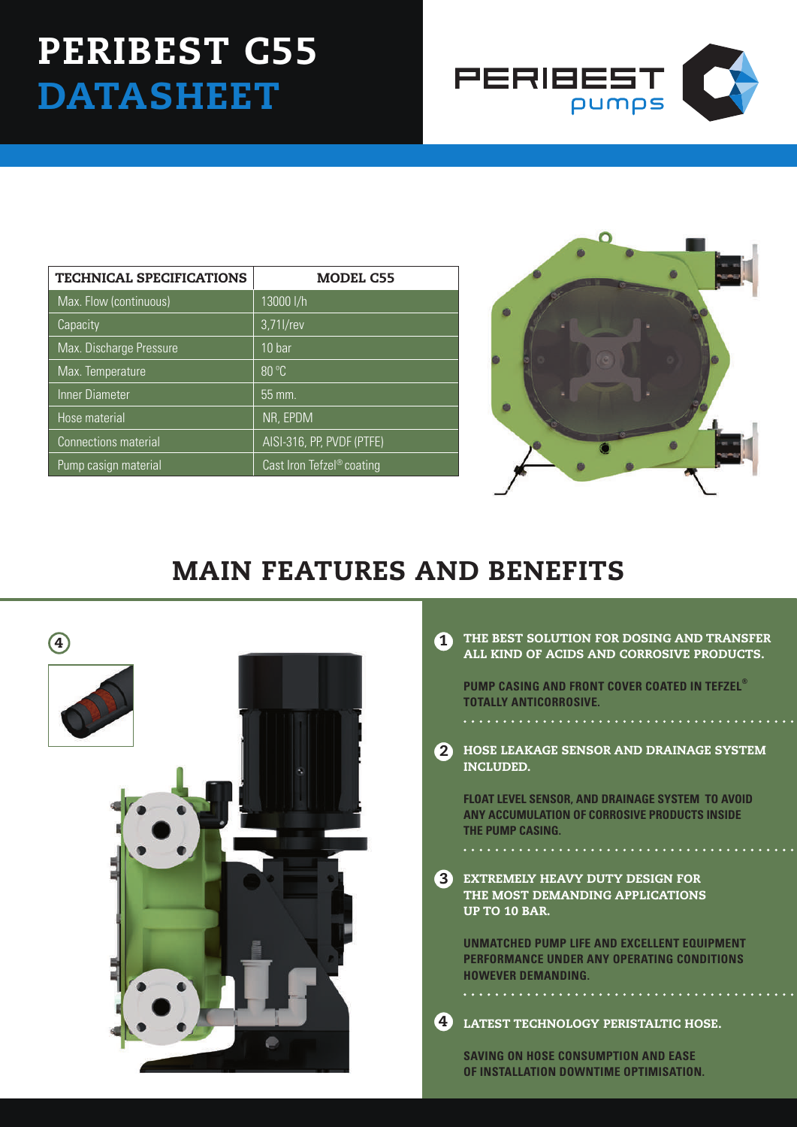## PERIBEST C55 **DATASHEET**



| <b>TECHNICAL SPECIFICATIONS</b> | <b>MODEL C55</b>                      |
|---------------------------------|---------------------------------------|
| Max. Flow (continuous)          | 13000 l/h                             |
| Capacity                        | 3,71l/rev                             |
| Max. Discharge Pressure         | 10 <sub>bar</sub>                     |
| Max. Temperature                | 80 °C                                 |
| Inner Diameter                  | 55 mm.                                |
| Hose material                   | NR, EPDM                              |
| Connections material            | AISI-316, PP, PVDF (PTFE)             |
| Pump casign material            | Cast Iron Tefzel <sup>®</sup> coating |



## MAIN FEATURES AND BENEFITS



|   | THE BEST SOLUTION FOR DOSING AND TRANSFER |  |  |
|---|-------------------------------------------|--|--|
| - | ALL KIND OF ACIDS AND CORROSIVE PRODUCTS. |  |  |

**PUMP CASING AND FRONT COVER COATED IN TEFZEL® TOTALLY ANTICORROSIVE.**

2 HOSE LEAKAGE SENSOR AND DRAINAGE SYSTEM INCLUDED.

**float level sensor, and drainage system to avoid any accumulation of corrosive products inside the pump casing.**

**3** EXTREMELY HEAVY DUTY DESIGN FOR THE MOST DEMANDING APPLICATIONS UP TO 10 BAR.

**UNMATCHED PUMP LIFE AND EXCELLENT EQUIPMENT PERFORMANCE UNDER ANY OPERATING CONDITIONS HOWEVER DEMANDING.**

LATEST TECHNOLOGY PERISTALTIC HOSE. 4

**SAVING ON HOSE CONSUMPTION AND EASE OF INSTALLATION DOWNTIME OPTIMISATION.**